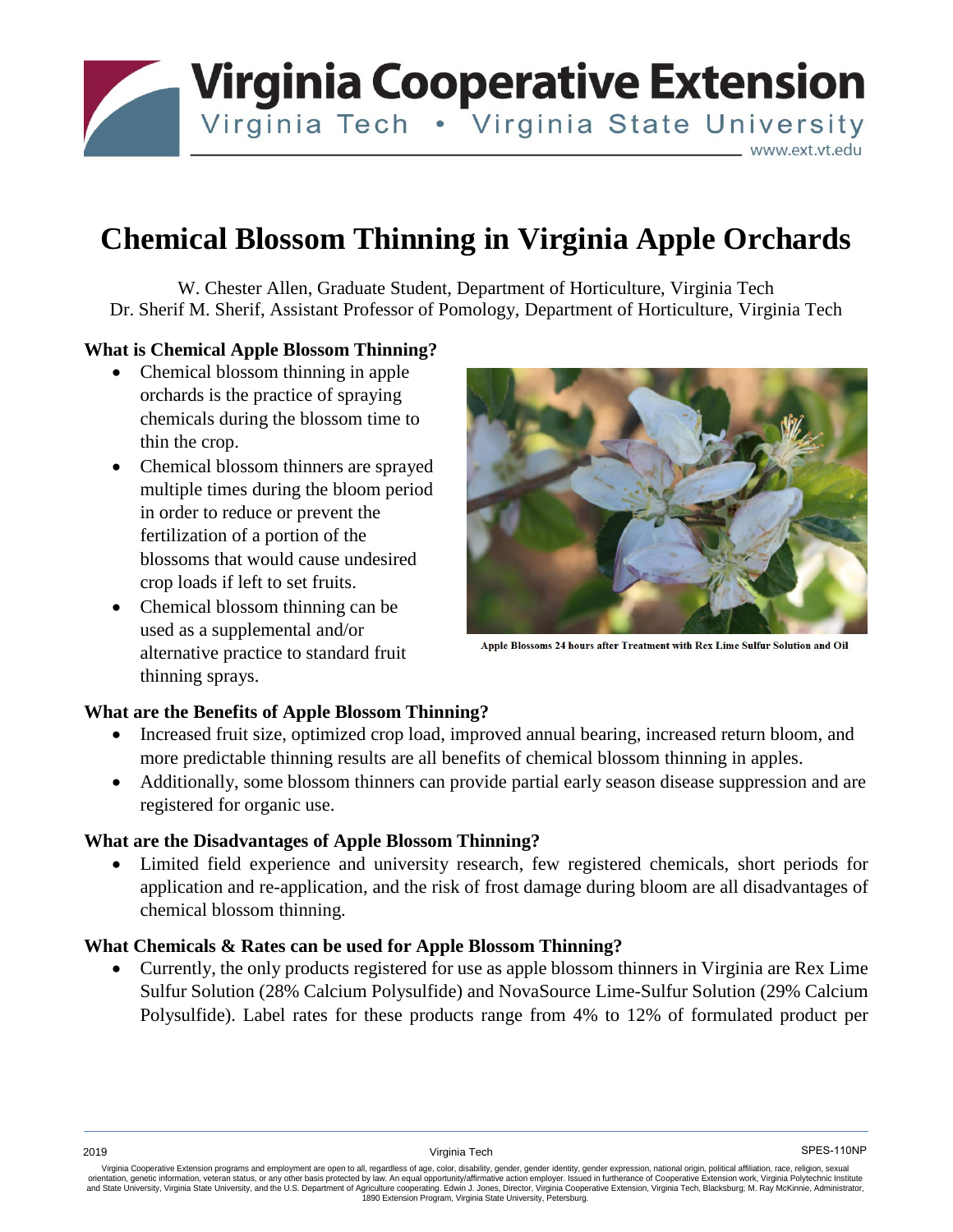**Virginia Cooperative Extension** Virginia Tech . Virginia State University

www.ext.vt.edu

# **Chemical Blossom Thinning in Virginia Apple Orchards**

W. Chester Allen, Graduate Student, Department of Horticulture, Virginia Tech Dr. Sherif M. Sherif, Assistant Professor of Pomology, Department of Horticulture, Virginia Tech

## **What is Chemical Apple Blossom Thinning?**

- Chemical blossom thinning in apple orchards is the practice of spraying chemicals during the blossom time to thin the crop.
- Chemical blossom thinners are sprayed multiple times during the bloom period in order to reduce or prevent the fertilization of a portion of the blossoms that would cause undesired crop loads if left to set fruits.
- Chemical blossom thinning can be used as a supplemental and/or alternative practice to standard fruit thinning sprays.



Apple Blossoms 24 hours after Treatment with Rex Lime Sulfur Solution and Oil

### **What are the Benefits of Apple Blossom Thinning?**

- Increased fruit size, optimized crop load, improved annual bearing, increased return bloom, and more predictable thinning results are all benefits of chemical blossom thinning in apples.
- Additionally, some blossom thinners can provide partial early season disease suppression and are registered for organic use.

#### **What are the Disadvantages of Apple Blossom Thinning?**

 Limited field experience and university research, few registered chemicals, short periods for application and re-application, and the risk of frost damage during bloom are all disadvantages of chemical blossom thinning.

#### **What Chemicals & Rates can be used for Apple Blossom Thinning?**

 Currently, the only products registered for use as apple blossom thinners in Virginia are Rex Lime Sulfur Solution (28% Calcium Polysulfide) and NovaSource Lime-Sulfur Solution (29% Calcium Polysulfide). Label rates for these products range from 4% to 12% of formulated product per